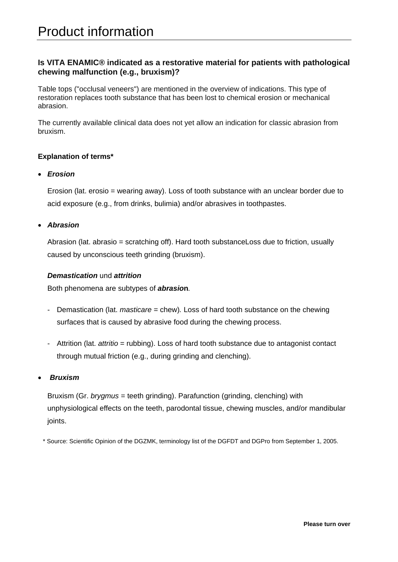# Product information

# **Is VITA ENAMIC® indicated as a restorative material for patients with pathological chewing malfunction (e.g., bruxism)?**

Table tops ("occlusal veneers") are mentioned in the overview of indications. This type of restoration replaces tooth substance that has been lost to chemical erosion or mechanical abrasion.

The currently available clinical data does not yet allow an indication for classic abrasion from bruxism.

## **Explanation of terms\***

#### *Erosion*

Erosion (lat. erosio = wearing away). Loss of tooth substance with an unclear border due to acid exposure (e.g., from drinks, bulimia) and/or abrasives in toothpastes.

#### *Abrasion*

Abrasion (lat. abrasio = scratching off). Hard tooth substanceLoss due to friction, usually caused by unconscious teeth grinding (bruxism).

#### *Demastication* und *attrition*

Both phenomena are subtypes of *abrasio***n***.* 

- Demastication (lat. *masticare* = chew)*.* Loss of hard tooth substance on the chewing surfaces that is caused by abrasive food during the chewing process.
- Attrition (lat. *attritio* = rubbing). Loss of hard tooth substance due to antagonist contact through mutual friction (e.g., during grinding and clenching).

### *Bruxism*

Bruxism (Gr. *brygmus* = teeth grinding). Parafunction (grinding, clenching) with unphysiological effects on the teeth, parodontal tissue, chewing muscles, and/or mandibular joints.

\* Source: Scientific Opinion of the DGZMK, terminology list of the DGFDT and DGPro from September 1, 2005.